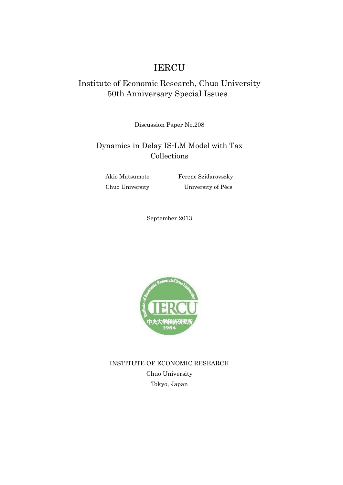# IERCU

# Institute of Economic Research, Chuo University 50th Anniversary Special Issues

Discussion Paper No.208

# Dynamics in Delay IS-LM Model with Tax Collections

Akio Matsumoto Ferenc Szidarovszky Chuo University University of Pécs

September 2013



INSTITUTE OF ECONOMIC RESEARCH Chuo University Tokyo, Japan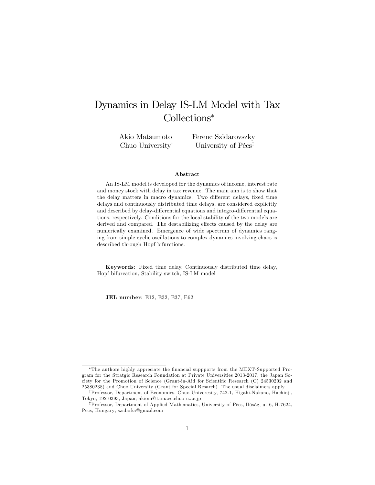# Dynamics in Delay IS-LM Model with Tax Collections

Akio Matsumoto Chuo University<sup>†</sup>

Ferenc Szidarovszky University of Pécs<sup>‡</sup>

#### Abstract

An IS-LM model is developed for the dynamics of income, interest rate and money stock with delay in tax revenue. The main aim is to show that the delay matters in macro dynamics. Two different delays, fixed time delays and continuously distributed time delays, are considered explicitly and described by delay-differential equations and integro-differential equations, respectively. Conditions for the local stability of the two models are derived and compared. The destabilizing effects caused by the delay are numerically examined. Emergence of wide spectrum of dynamics ranging from simple cyclic oscillations to complex dynamics involving chaos is described through Hopf bifurctions.

Keywords: Fixed time delay, Continuously distributed time delay, Hopf bifurcation, Stability switch, IS-LM model

JEL number: E12, E32, E37, E62

The authors highly appreciate the Önancial suppports from the MEXT-Supported Program for the Stratgic Research Foundation at Private Universities 2013-2017, the Japan Society for the Promotion of Science (Grant-in-Aid for Scientific Research (C) 24530202 and 25380238) and Chuo University (Grant for Special Resarch). The usual disclaimers apply.

<sup>&</sup>lt;sup>†</sup>Professor, Department of Economics, Chuo Univeresity, 742-1, Higahi-Nakano, Hachioji, Tokyo, 192-0393, Japan; akiom@tamacc.chuo-u.ac.jp

<sup>&</sup>lt;sup>‡</sup>Professor, Department of Applied Mathematics, University of Pécs, Ifúság, u. 6, H-7624, PÈcs, Hungary; szidarka@gmail.com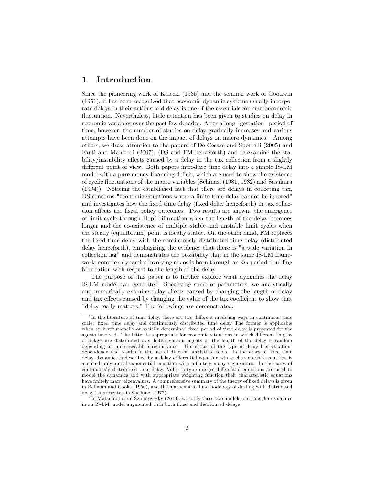## 1 Introduction

Since the pioneering work of Kalecki (1935) and the seminal work of Goodwin (1951), it has been recognized that economic dynamic systems usually incorporate delays in their actions and delay is one of the essentials for macroeconomic fluctuation. Nevertheless, little attention has been given to studies on delay in economic variables over the past few decades. After a long "gestation" period of time, however, the number of studies on delay gradually increases and various attempts have been done on the impact of delays on macro dynamics.<sup>1</sup> Among others, we draw attention to the papers of De Cesare and Sportelli (2005) and Fanti and Manfredi (2007), (DS and FM henceforth) and re-examine the stability/instability effects caused by a delay in the tax collection from a slightly different point of view. Both papers introduce time delay into a simple IS-LM model with a pure money financing deficit, which are used to show the existence of cyclic áuctuations of the macro variables (Schinasi (1981, 1982) and Sasakura (1994)). Noticing the established fact that there are delays in collecting tax, DS concerns "economic situations where a finite time delay cannot be ignored" and investigates how the fixed time delay (fixed delay henceforth) in tax collection affects the fiscal policy outcomes. Two results are shown: the emergence of limit cycle through Hopf bifurcation when the length of the delay becomes longer and the co-existence of multiple stable and unstable limit cycles when the steady (equilibrium) point is locally stable. On the other hand, FM replaces the Öxed time delay with the continuously distributed time delay (distributed delay henceforth), emphasizing the evidence that there is "a wide variation in collection lag" and demonstrates the possibility that in the same IS-LM framework, complex dynamics involving chaos is born through an *ala* period-doubling bifurcation with respect to the length of the delay.

The purpose of this paper is to further explore what dynamics the delay IS-LM model can generate.<sup>2</sup> Specifying some of parameters, we analytically and numerically examine delay effects caused by changing the length of delay and tax effects caused by changing the value of the tax coefficient to show that "delay really matters." The followings are demonstrated:

<sup>&</sup>lt;sup>1</sup>In the literature of time delay, there are two different modeling ways in continuous-time scale: Öxed time delay and continuously distributed time delay The former is applicable when an institutionally or socially determined fixed period of time delay is presented for the agents involved. The latter is appropriate for economic situations in which different lengths of delays are distributed over heterogeneous agents or the length of the delay is random depending on unforeseeable circumstance. The choice of the type of delay has situationdependency and results in the use of different analytical tools. In the cases of fixed time delay, dynamics is described by a delay differential equation whose characteristic equation is a mixed polynomial-exponential equation with infinitely many eigenvalues. In the cases of continuously distributed time delay, Volterra-type integro-differential equations are used to model the dynamics and with appropriate weighting function their characteristic equations have finitely many eigenvalues. A comprehensive summary of the theory of fixed delays is given in Bellman and Cooke (1956), and the mathematical methodology of dealing with distributed delays is presented in Cushing (1977).

<sup>&</sup>lt;sup>2</sup>In Matsumoto and Szidarovszky (2013), we unify these two models and consider dynamics in an IS-LM model augmented with both fixed and distributed delays.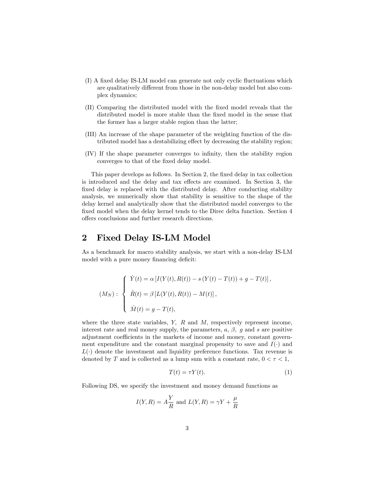- (I) A fixed delay IS-LM model can generate not only cyclic fluctuations which are qualitatively different from those in the non-delay model but also complex dynamics;
- (II) Comparing the distributed model with the Öxed model reveals that the distributed model is more stable than the fixed model in the sense that the former has a larger stable region than the latter;
- (III) An increase of the shape parameter of the weighting function of the distributed model has a destabilizing effect by decreasing the stability region;
- (IV) If the shape parameter converges to inÖnity, then the stability region converges to that of the fixed delay model.

This paper develops as follows. In Section 2, the fixed delay in tax collection is introduced and the delay and tax effects are examined. In Section 3, the fixed delay is replaced with the distributed delay. After conducting stability analysis, we numerically show that stability is sensitive to the shape of the delay kernel and analytically show that the distributed model converges to the fixed model when the delay kernel tends to the Direc delta function. Section 4 offers conclusions and further research directions.

## 2 Fixed Delay IS-LM Model

As a benchmark for macro stability analysis, we start with a non-delay IS-LM model with a pure money financing deficit:

$$
(M_N): \begin{cases} \dot{Y}(t) = \alpha \left[ I(Y(t), R(t)) - s(Y(t) - T(t)) + g - T(t) \right], \\ \dot{R}(t) = \beta \left[ L(Y(t), R(t)) - M(t) \right], \\ \dot{M}(t) = g - T(t), \end{cases}
$$

where the three state variables,  $Y$ ,  $R$  and  $M$ , respectively represent income, interest rate and real money supply, the parameters,  $a, \beta, g$  and s are positive adjustment coefficients in the markets of income and money, constant government expenditure and the constant marginal propensity to save and  $I(\cdot)$  and  $L(\cdot)$  denote the investment and liquidity preference functions. Tax revenue is denoted by T and is collected as a lump sum with a constant rate,  $0 < \tau < 1$ ,

$$
T(t) = \tau Y(t). \tag{1}
$$

Following DS, we specify the investment and money demand functions as

 $\rightarrow$ 

$$
I(Y, R) = A\frac{Y}{R}
$$
 and  $L(Y, R) = \gamma Y + \frac{\mu}{R}$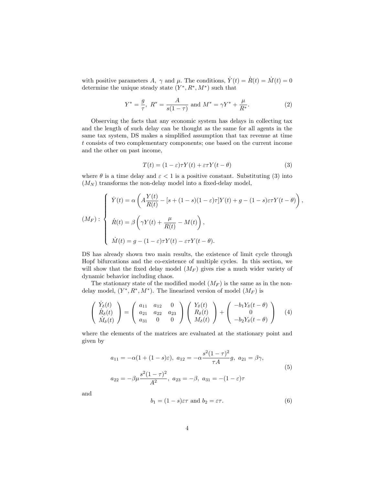with positive parameters A,  $\gamma$  and  $\mu$ . The conditions,  $\dot{Y}(t) = \dot{R}(t) = \dot{M}(t) = 0$ determine the unique steady state  $(Y^*, R^*, M^*)$  such that

$$
Y^* = \frac{g}{\tau}, \ R^* = \frac{A}{s(1-\tau)} \text{ and } M^* = \gamma Y^* + \frac{\mu}{R^*}.
$$
 (2)

Observing the facts that any economic system has delays in collecting tax and the length of such delay can be thought as the same for all agents in the same tax system, DS makes a simplified assumption that tax revenue at time t consists of two complementary components; one based on the current income and the other on past income,

$$
T(t) = (1 - \varepsilon)\tau Y(t) + \varepsilon \tau Y(t - \theta)
$$
\n(3)

where  $\theta$  is a time delay and  $\varepsilon < 1$  is a positive constant. Substituting (3) into  $(M_N)$  transforms the non-delay model into a fixed-delay model,

$$
(M_F): \begin{cases} \dot{Y}(t) = \alpha \left( A \frac{Y(t)}{R(t)} - [s + (1 - s)(1 - \varepsilon)\tau] Y(t) + g - (1 - s)\varepsilon \tau Y(t - \theta) \right), \\ \dot{R}(t) = \beta \left( \gamma Y(t) + \frac{\mu}{R(t)} - M(t) \right), \\ \dot{M}(t) = g - (1 - \varepsilon)\tau Y(t) - \varepsilon \tau Y(t - \theta). \end{cases}
$$

DS has already shown two main results, the existence of limit cycle through Hopf bifurcations and the co-existence of multiple cycles. In this section, we will show that the fixed delay model  $(M_F)$  gives rise a much wider variety of dynamic behavior including chaos.

The stationary state of the modified model  $(M_F)$  is the same as in the nondelay model,  $(Y^*, R^*, M^*)$ . The linearized version of model  $(M_F)$  is

$$
\begin{pmatrix}\n\dot{Y}_{\delta}(t) \\
\dot{R}_{\delta}(t) \\
\dot{M}_{\delta}(t)\n\end{pmatrix} = \begin{pmatrix}\na_{11} & a_{12} & 0 \\
a_{21} & a_{22} & a_{23} \\
a_{31} & 0 & 0\n\end{pmatrix} \begin{pmatrix}\nY_{\delta}(t) \\
R_{\delta}(t) \\
M_{\delta}(t)\n\end{pmatrix} + \begin{pmatrix}\n-b_{1}Y_{\delta}(t-\theta) \\
0 \\
-b_{2}Y_{\delta}(t-\theta)\n\end{pmatrix}
$$
\n(4)

where the elements of the matrices are evaluated at the stationary point and given by

$$
a_{11} = -\alpha (1 + (1 - s)\varepsilon), \ a_{12} = -\alpha \frac{s^2 (1 - \tau)^2}{\tau A} g, \ a_{21} = \beta \gamma,
$$
  

$$
a_{22} = -\beta \mu \frac{s^2 (1 - \tau)^2}{A^2}, \ a_{23} = -\beta, \ a_{31} = -(1 - \varepsilon)\tau
$$
 (5)

and

$$
b_1 = (1 - s)\varepsilon\tau \text{ and } b_2 = \varepsilon\tau. \tag{6}
$$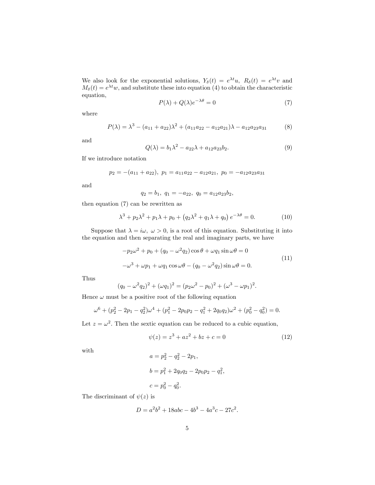We also look for the exponential solutions,  $Y_{\delta}(t) = e^{\lambda t}u$ ,  $R_{\delta}(t) = e^{\lambda t}v$  and  $M_{\delta}(t) = e^{\lambda t}w$ , and substitute these into equation (4) to obtain the characteristic equation,

$$
P(\lambda) + Q(\lambda)e^{-\lambda\theta} = 0
$$
\n(7)

where

$$
P(\lambda) = \lambda^3 - (a_{11} + a_{22})\lambda^2 + (a_{11}a_{22} - a_{12}a_{21})\lambda - a_{12}a_{23}a_{31}
$$
 (8)

and

$$
Q(\lambda) = b_1 \lambda^2 - a_{22} \lambda + a_{12} a_{23} b_2.
$$
 (9)

If we introduce notation

$$
p_2 = -(a_{11} + a_{22}), \ p_1 = a_{11}a_{22} - a_{12}a_{21}, \ p_0 = -a_{12}a_{23}a_{31}
$$

and

 $q_2 = b_1, q_1 = -a_{22}, q_0 = a_{12}a_{23}b_2,$ 

then equation (7) can be rewritten as

$$
\lambda^3 + p_2 \lambda^2 + p_1 \lambda + p_0 + (q_2 \lambda^2 + q_1 \lambda + q_0) e^{-\lambda \theta} = 0.
$$
 (10)

Suppose that  $\lambda = i\omega, \ \omega > 0$ , is a root of this equation. Substituting it into the equation and then separating the real and imaginary parts, we have

$$
-p_2\omega^2 + p_0 + (q_0 - \omega^2 q_2)\cos\theta + \omega q_1\sin\omega\theta = 0
$$
  

$$
-\omega^3 + \omega p_1 + \omega q_1\cos\omega\theta - (q_0 - \omega^2 q_2)\sin\omega\theta = 0.
$$
 (11)

Thus

$$
(q_0 - \omega^2 q_2)^2 + (\omega q_1)^2 = (p_2 \omega^2 - p_0)^2 + (\omega^3 - \omega p_1)^2.
$$

Hence  $\omega$  must be a positive root of the following equation

$$
\omega^6 + (p_2^2 - 2p_1 - q_2^2)\omega^4 + (p_1^2 - 2p_0p_2 - q_1^2 + 2q_0q_2)\omega^2 + (p_0^2 - q_0^2) = 0.
$$

Let  $z = \omega^2$ . Then the sextic equation can be reduced to a cubic equation,

$$
\psi(z) = z^3 + az^2 + bz + c = 0 \tag{12}
$$

with

$$
a = p_2^2 - q_2^2 - 2p_1,
$$
  
\n
$$
b = p_1^2 + 2q_0q_2 - 2p_0p_2 - q_1^2,
$$
  
\n
$$
c = p_0^2 - q_0^2.
$$

The discriminant of  $\psi(z)$  is

$$
D = a^2b^2 + 18abc - 4b^3 - 4a^3c - 27c^2.
$$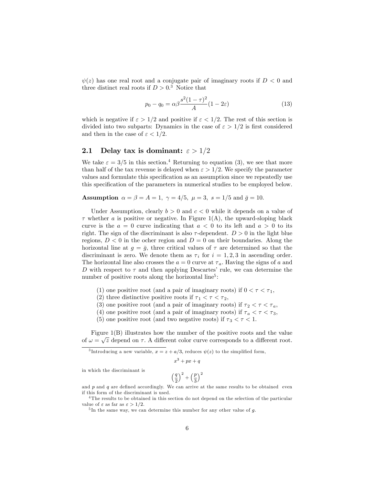$\psi(z)$  has one real root and a conjugate pair of imaginary roots if  $D < 0$  and three distinct real roots if  $D > 0.3$  Notice that

$$
p_0 - q_0 = \alpha \beta \frac{s^2 (1 - \tau)^2}{A} (1 - 2\varepsilon)
$$
\n(13)

which is negative if  $\varepsilon > 1/2$  and positive if  $\varepsilon < 1/2$ . The rest of this section is divided into two subparts: Dynamics in the case of  $\varepsilon > 1/2$  is first considered and then in the case of  $\varepsilon < 1/2$ .

### 2.1 Delay tax is dominant:  $\varepsilon > 1/2$

We take  $\varepsilon = 3/5$  in this section.<sup>4</sup> Returning to equation (3), we see that more than half of the tax revenue is delayed when  $\varepsilon > 1/2$ . We specify the parameter values and formulate this specification as an assumption since we repeatedly use this specification of the parameters in numerical studies to be employed below.

Assumption  $\alpha = \beta = A = 1$ ,  $\gamma = 4/5$ ,  $\mu = 3$ ,  $s = 1/5$  and  $\bar{g} = 10$ .

Under Assumption, clearly  $b > 0$  and  $c < 0$  while it depends on a value of  $\tau$  whether a is positive or negative. In Figure 1(A), the upward-sloping black curve is the  $a = 0$  curve indicating that  $a < 0$  to its left and  $a > 0$  to its right. The sign of the discriminant is also  $\tau$ -dependent.  $D > 0$  in the light blue regions,  $D < 0$  in the ocher region and  $D = 0$  on their boundaries. Along the horizontal line at  $g = \bar{g}$ , three critical values of  $\tau$  are determined so that the discriminant is zero. We denote them as  $\tau_i$  for  $i = 1, 2, 3$  in ascending order. The horizontal line also crosses the  $a = 0$  curve at  $\tau_a$ . Having the signs of a and D with respect to  $\tau$  and then applying Descartes' rule, we can determine the number of positive roots along the horizontal line<sup>5</sup>:

- (1) one positive root (and a pair of imaginary roots) if  $0 < \tau < \tau_1$ ,
- (2) three distinctive positive roots if  $\tau_1 < \tau < \tau_2$ ,
- (3) one positive root (and a pair of imaginary roots) if  $\tau_2 < \tau < \tau_a$ ,
- (4) one positive root (and a pair of imaginary roots) if  $\tau_a < \tau < \tau_3$ ,
- (5) one positive root (and two negative roots) if  $\tau_3 < \tau < 1$ .

Figure 1(B) illustrates how the number of the positive roots and the value of  $\omega = \sqrt{z}$  depend on  $\tau$ . A different color curve corresponds to a different root.

<sup>3</sup>Introducing a new variable,  $x = z + a/3$ , reduces  $\psi(z)$  to the simplified form,

$$
x^3+px+q
$$

in which the discriminant is

$$
\left(\frac{q}{2}\right)^2+\left(\frac{p}{3}\right)^2
$$

and  $p$  and  $q$  are defined accordingly. We can arrive at the same results to be obtained even if this form of the discriminant is used.

<sup>&</sup>lt;sup>4</sup>The results to be obtained in this section do not depend on the selection of the particular value of  $\varepsilon$  as far as  $\varepsilon > 1/2$ .

<sup>&</sup>lt;sup>5</sup>In the same way, we can determine this number for any other value of g.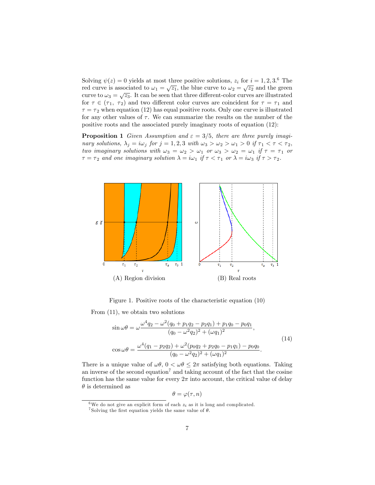Solving  $\psi(z) = 0$  yields at most three positive solutions,  $z_i$  for  $i = 1, 2, 3$ .<sup>6</sup> The red curve is associated to  $\omega_1 = \sqrt{z_1}$ , the blue curve to  $\omega_2 = \sqrt{z_2}$  and the green curve to  $\omega_3 = \sqrt{z_3}$ . It can be seen that three different-color curves are illustrated for  $\tau \in (\tau_1, \tau_2)$  and two different color curves are coincident for  $\tau = \tau_1$  and  $\tau = \tau_2$  when equation (12) has equal positive roots. Only one curve is illustrated for any other values of  $\tau$ . We can summarize the results on the number of the positive roots and the associated purely imaginary roots of equation (12):

**Proposition 1** Given Assumption and  $\varepsilon = 3/5$ , there are three purely imaginary solutions,  $\lambda_j = i \omega_j$  for  $j = 1, 2, 3$  with  $\omega_3 > \omega_2 > \omega_1 > 0$  if  $\tau_1 < \tau < \tau_2$ , two imaginary solutions with  $\omega_3 = \omega_2 > \omega_1$  or  $\omega_3 > \omega_2 = \omega_1$  if  $\tau = \tau_1$  or  $\tau = \tau_2$  and one imaginary solution  $\lambda = i\omega_1$  if  $\tau < \tau_1$  or  $\lambda = i\omega_3$  if  $\tau > \tau_2$ .



Figure 1. Positive roots of the characteristic equation (10)

From (11), we obtain two solutions

$$
\sin \omega \theta = \omega \frac{\omega^4 q_2 - \omega^2 (q_0 + p_1 q_2 - p_2 q_1) + p_1 q_0 - p_0 q_1}{(q_0 - \omega^2 q_2)^2 + (\omega q_1)^2},
$$
\n
$$
\cos \omega \theta = \frac{\omega^4 (q_1 - p_2 q_2) + \omega^2 (p_0 q_2 + p_2 q_0 - p_1 q_1) - p_0 q_0}{(q_0 - \omega^2 q_2)^2 + (\omega q_1)^2}.
$$
\n(14)

There is a unique value of  $\omega\theta$ ,  $0 < \omega\theta \leq 2\pi$  satisfying both equations. Taking an inverse of the second equation<sup>7</sup> and taking account of the fact that the cosine function has the same value for every  $2\pi$  into account, the critical value of delay  $\theta$  is determined as

$$
\theta = \varphi(\tau, n)
$$

<sup>6</sup>We do not give an explicit form of each  $z_i$  as it is long and complicated.

<sup>&</sup>lt;sup>7</sup> Solving the first equation yields the same value of  $\theta$ .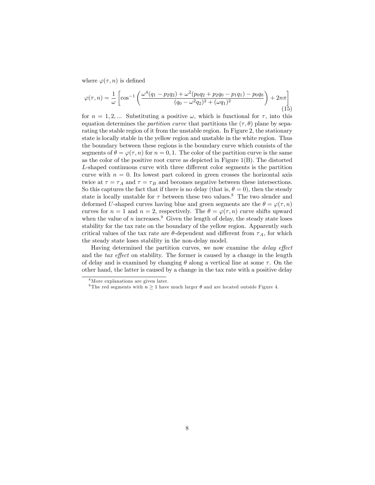where  $\varphi(\tau, n)$  is defined

$$
\varphi(\tau, n) = \frac{1}{\omega} \left[ \cos^{-1} \left( \frac{\omega^4 (q_1 - p_2 q_2) + \omega^2 (p_0 q_2 + p_2 q_0 - p_1 q_1) - p_0 q_0}{(q_0 - \omega^2 q_2)^2 + (\omega q_1)^2} \right) + 2n\pi \right]
$$
\n(15)

for  $n = 1, 2, ...$  Substituting a positive  $\omega$ , which is functional for  $\tau$ , into this equation determines the *partition curve* that partitions the  $(\tau, \theta)$  plane by separating the stable region of it from the unstable region. In Figure 2, the stationary state is locally stable in the yellow region and unstable in the white region. Thus the boundary between these regions is the boundary curve which consists of the segments of  $\theta = \varphi(\tau, n)$  for  $n = 0, 1$ . The color of the partition curve is the same as the color of the positive root curve as depicted in Figure 1(B). The distorted L-shaped continuous curve with three different color segments is the partition curve with  $n = 0$ . Its lowest part colored in green crosses the horizontal axis twice at  $\tau = \tau_A$  and  $\tau = \tau_B$  and becomes negative between these intersections. So this captures the fact that if there is no delay (that is,  $\theta = 0$ ), then the steady state is locally unstable for  $\tau$  between these two values.<sup>8</sup> The two slender and deformed U-shaped curves having blue and green segments are the  $\theta = \varphi(\tau, n)$ curves for  $n = 1$  and  $n = 2$ , respectively. The  $\theta = \varphi(\tau, n)$  curve shifts upward when the value of n increases.<sup>9</sup> Given the length of delay, the steady state loses stability for the tax rate on the boundary of the yellow region. Apparently such critical values of the tax rate are  $\theta$ -dependent and different from  $\tau_A$ , for which the steady state loses stability in the non-delay model.

Having determined the partition curves, we now examine the *delay effect* and the  $tax$  effect on stability. The former is caused by a change in the length of delay and is examined by changing  $\theta$  along a vertical line at some  $\tau$ . On the other hand, the latter is caused by a change in the tax rate with a positive delay

<sup>8</sup>More explanations are given later.

<sup>&</sup>lt;sup>9</sup> The red segments with  $n \geq 1$  have much larger  $\theta$  and are located outside Figure 4.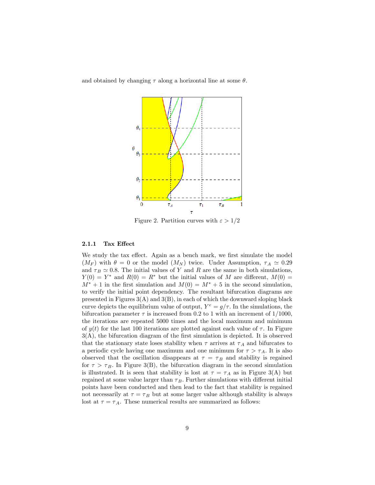and obtained by changing  $\tau$  along a horizontal line at some  $\theta$ .



Figure 2. Partition curves with  $\varepsilon > 1/2$ 

#### 2.1.1 Tax Effect

We study the tax effect. Again as a bench mark, we first simulate the model  $(M_F)$  with  $\theta = 0$  or the model  $(M_N)$  twice. Under Assumption,  $\tau_A \simeq 0.29$ and  $\tau_B \simeq 0.8$ . The initial values of Y and R are the same in both simulations,  $Y(0) = Y^*$  and  $R(0) = R^*$  but the initial values of M are different,  $M(0) =$  $M^* + 1$  in the first simulation and  $M(0) = M^* + 5$  in the second simulation, to verify the initial point dependency. The resultant bifurcation diagrams are presented in Figures  $3(A)$  and  $3(B)$ , in each of which the downward sloping black curve depicts the equilibrium value of output,  $Y^e = g/\tau$ . In the simulations, the bifurcation parameter  $\tau$  is increased from 0.2 to 1 with an increment of 1/1000, the iterations are repeated 5000 times and the local maximum and minimum of  $y(t)$  for the last 100 iterations are plotted against each value of  $\tau$ . In Figure  $3(A)$ , the bifurcation diagram of the first simulation is depicted. It is observed that the stationary state loses stability when  $\tau$  arrives at  $\tau_A$  and bifurcates to a periodic cycle having one maximum and one minimum for  $\tau > \tau_A$ . It is also observed that the oscillation disappears at  $\tau = \tau_B$  and stability is regained for  $\tau > \tau_B$ . In Figure 3(B), the bifurcation diagram in the second simulation is illustrated. It is seen that stability is lost at  $\tau = \tau_A$  as in Figure 3(A) but regained at some value larger than  $\tau_B$ . Further simulations with different initial points have been conducted and then lead to the fact that stability is regained not necessarily at  $\tau = \tau_B$  but at some larger value although stability is always lost at  $\tau = \tau_A$ . These numerical results are summarized as follows: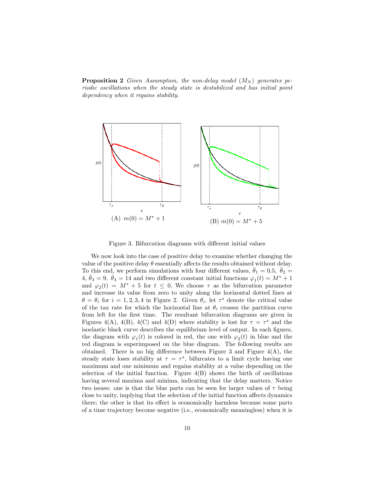**Proposition 2** Given Assumption, the non-delay model  $(M_N)$  generates periodic oscillations when the steady state is destabilized and has initial point dependency when it regains stability.



Figure 3. Bifurcation diagrams with different initial values

We now look into the case of positive delay to examine whether changing the value of the positive delay  $\theta$  essentially affects the results obtained without delay. To this end, we perform simulations with four different values,  $\bar{\theta}_1 = 0.5$ ,  $\bar{\theta}_2 =$  $4, \bar{\theta}_3 = 9, \bar{\theta}_4 = 14$  and two different constant initial functions  $\varphi_1(t) = M^* + 1$ and  $\varphi_2(t) = M^* + 5$  for  $t \leq 0$ . We choose  $\tau$  as the bifurcation parameter and increase its value from zero to unity along the horizontal dotted lines at  $\theta = \theta_i$  for  $i = 1, 2, 3, 4$  in Figure 2. Given  $\theta_i$ , let  $\tau^s$  denote the critical value of the tax rate for which the horizontal line at  $\theta_i$  crosses the partition curve from left for the first time. The resultant bifurcation diagrams are given in Figures 4(A), 4(B), 4(C) and 4(D) where stability is lost for  $\tau = \tau^s$  and the isoelastic black curve describes the equilibrium level of output. In each figures, the diagram with  $\varphi_1(t)$  is colored in red, the one with  $\varphi_2(t)$  in blue and the red diagram is superimposed on the blue diagram. The following results are obtained. There is no big difference between Figure 3 and Figure  $4(A)$ , the steady state loses stability at  $\tau = \tau^s$ , bifurcates to a limit cycle having one maximum and one minimum and regains stability at a value depending on the selection of the initial function. Figure  $4(B)$  shows the birth of oscillations having several maxima and minima, indicating that the delay matters. Notice two issues: one is that the blue parts can be seen for larger values of  $\tau$  being close to unity, implying that the selection of the initial function affects dynamics there; the other is that its effect is economically harmless because some parts of a time trajectory become negative (i.e., economically meaningless) when it is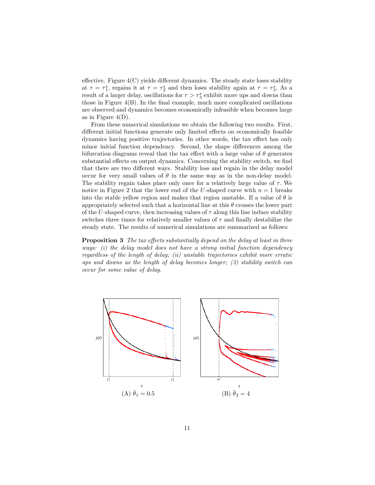effective. Figure  $4(C)$  yields different dynamics. The steady state loses stability at  $\tau = \tau_1^s$ , regains it at  $\tau = \tau_2^s$  and then loses stability again at  $\tau = \tau_3^s$ . As a result of a larger delay, oscillations for  $\tau > \tau_3^s$  exhibit more ups and downs than those in Figure  $4(B)$ . In the final example, much more complicated oscillations are observed and dynamics becomes economically infeasible when becomes large as in Figure  $4(D)$ .

From these numerical simulations we obtain the following two results. First, different initial functions generate only limited effects on economically feasible dynamics having positive trajectories. In other words, the tax effect has only minor initial function dependency. Second, the shape differences among the bifurcation diagrams reveal that the tax effect with a large value of  $\theta$  generates substantial effects on output dynamics. Concerning the stability switch, we find that there are two different ways. Stability loss and regain in the delay model occur for very small values of  $\theta$  in the same way as in the non-delay model. The stability regain takes place only once for a relatively large value of  $\tau$ . We notice in Figure 2 that the lower end of the U-shaped curve with  $n = 1$  breaks into the stable yellow region and makes that region unstable. If a value of  $\theta$  is appropriately selected such that a horizontal line at this  $\theta$  crosses the lower part of the U-shaped curve, then increasing values of  $\tau$  along this line induce stability switches three times for relatively smaller values of  $\tau$  and finally destabilize the steady state. The results of numerical simulations are summarized as follows:

**Proposition 3** The tax effects substantially depend on the delay at least in three ways: (i) the delay model does not have a strong initial function dependency regardless of the length of delay; (ii) unstable trajectories exhibit more erratic ups and downs as the length of delay becomes longer; (3) stability switch can occur for some value of delay.

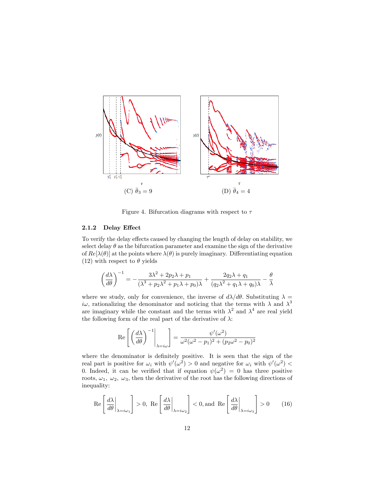

Figure 4. Bifurcation diagrams with respect to  $\tau$ 

#### 2.1.2 Delay Effect

To verify the delay effects caused by changing the length of delay on stability, we select delay  $\theta$  as the bifurcation parameter and examine the sign of the derivative of  $Re[\lambda(\theta)]$  at the points where  $\lambda(\theta)$  is purely imaginary. Differentiating equation (12) with respect to  $\theta$  yields

$$
\left(\frac{d\lambda}{d\theta}\right)^{-1} = -\frac{3\lambda^2 + 2p_2\lambda + p_1}{(\lambda^3 + p_2\lambda^2 + p_1\lambda + p_0)\lambda} + \frac{2q_2\lambda + q_1}{(q_2\lambda^2 + q_1\lambda + q_0)\lambda} - \frac{\theta}{\lambda}
$$

where we study, only for convenience, the inverse of  $d\lambda/d\theta$ . Substituting  $\lambda =$ *iw*, rationalizing the denominator and noticing that the terms with  $\lambda$  and  $\lambda^3$ are imaginary while the constant and the terms with  $\lambda^2$  and  $\lambda^4$  are real yield the following form of the real part of the derivative of  $\lambda$ :

$$
\operatorname{Re}\left[\left(\frac{d\lambda}{d\theta}\right)^{-1}\Bigg|_{\lambda=i\omega}\right] = \frac{\psi'(\omega^2)}{\omega^2(\omega^2 - p_1)^2 + (p_2\omega^2 - p_0)^2}
$$

where the denominator is definitely positive. It is seen that the sign of the real part is positive for  $\omega_i$  with  $\psi'(\omega^2) > 0$  and negative for  $\omega_i$  with  $\psi'(\omega^2) <$ 0. Indeed, it can be verified that if equation  $\psi(\omega^2) = 0$  has three positive roots,  $\omega_1$ ,  $\omega_2$ ,  $\omega_3$ , then the derivative of the root has the following directions of inequality:

$$
\operatorname{Re}\left[\left.\frac{d\lambda}{d\theta}\right|_{\lambda=i\omega_1}\right] > 0, \operatorname{Re}\left[\left.\frac{d\lambda}{d\theta}\right|_{\lambda=i\omega_2}\right] < 0, \text{and } \operatorname{Re}\left[\left.\frac{d\lambda}{d\theta}\right|_{\lambda=i\omega_3}\right] > 0 \tag{16}
$$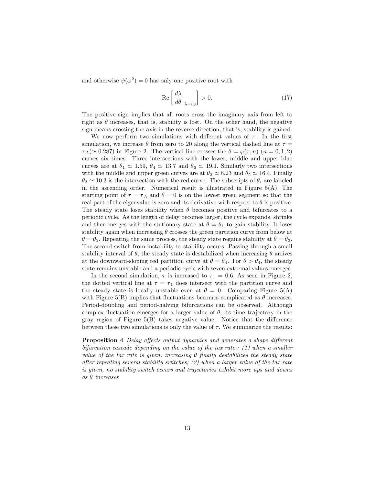and otherwise  $\psi(\omega^2) = 0$  has only one positive root with

$$
\operatorname{Re}\left[\left.\frac{d\lambda}{d\theta}\right|_{\lambda=i\omega}\right]>0.\tag{17}
$$

The positive sign implies that all roots cross the imaginary axis from left to right as  $\theta$  increases, that is, stability is lost. On the other hand, the negative sign means crossing the axis in the reverse direction, that is, stability is gained.

We now perform two simulations with different values of  $\tau$ . In the first simulation, we increase  $\theta$  from zero to 20 along the vertical dashed line at  $\tau =$  $\tau_A(\simeq 0.287)$  in Figure 2. The vertical line crosses the  $\theta = \varphi(\tau, n)$  ( $n = 0, 1, 2$ ) curves six times. Three intersections with the lower, middle and upper blue curves are at  $\theta_1 \simeq 1.59$ ,  $\theta_4 \simeq 13.7$  and  $\theta_6 \simeq 19.1$ . Similarly two intersections with the middle and upper green curves are at  $\theta_2 \simeq 8.23$  and  $\theta_5 \simeq 16.4$ . Finally  $\theta_3 \simeq 10.3$  is the intersection with the red curve. The subscripts of  $\theta_i$  are labeled in the ascending order. Numerical result is illustrated in Figure  $5(A)$ . The starting point of  $\tau = \tau_A$  and  $\theta = 0$  is on the lowest green segment so that the real part of the eigenvalue is zero and its derivative with respect to  $\theta$  is positive. The steady state loses stability when  $\theta$  becomes positive and bifurcates to a periodic cycle. As the length of delay becomes larger, the cycle expands, shrinks and then merges with the stationary state at  $\theta = \theta_1$  to gain stability. It loses stability again when increasing  $\theta$  crosses the green partition curve from below at  $\theta = \theta_2$ . Repeating the same process, the steady state regains stability at  $\theta = \theta_3$ . The second switch from instability to stability occurs. Passing through a small stability interval of  $\theta$ , the steady state is destabilized when increasing  $\theta$  arrives at the downward-sloping red partition curve at  $\theta = \theta_4$ . For  $\theta > \theta_4$ , the steady state remains unstable and a periodic cycle with seven extremal values emerges.

In the second simulation,  $\tau$  is increased to  $\tau_1 = 0.6$ . As seen in Figure 2, the dotted vertical line at  $\tau = \tau_1$  does intersect with the partition curve and the steady state is locally unstable even at  $\theta = 0$ . Comparing Figure 5(A) with Figure 5(B) implies that fluctuations becomes complicated as  $\theta$  increases. Period-doubling and period-halving bifurcations can be observed. Although complex fluctuation emerges for a larger value of  $\theta$ , its time trajectory in the gray region of Figure  $5(B)$  takes negative value. Notice that the difference between these two simulations is only the value of  $\tau$ . We summarize the results:

**Proposition 4** Delay affects output dynamics and generates a shape different bifurcation cascade depending on the value of the tax rate.:  $(1)$  when a smaller value of the tax rate is given, increasing  $\theta$  finally destabilizes the steady state after repeating several stability switches; (2) when a larger value of the tax rate is given, no stability switch occurs and trajectories exhibit more ups and downs  $as \theta$  increases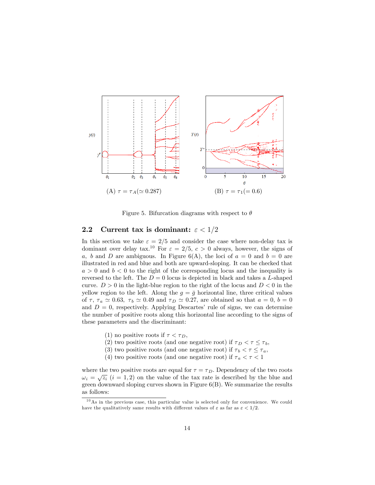

Figure 5. Bifurcation diagrams with respect to  $\theta$ 

#### 2.2 Current tax is dominant:  $\varepsilon < 1/2$

In this section we take  $\varepsilon = 2/5$  and consider the case where non-delay tax is dominant over delay tax.<sup>10</sup> For  $\varepsilon = 2/5$ ,  $c > 0$  always, however, the signs of a, b and D are ambiguous. In Figure 6(A), the loci of  $a = 0$  and  $b = 0$  are illustrated in red and blue and both are upward-sloping. It can be checked that  $a > 0$  and  $b < 0$  to the right of the corresponding locus and the inequality is reversed to the left. The  $D = 0$  locus is depicted in black and takes a L-shaped curve.  $D > 0$  in the light-blue region to the right of the locus and  $D < 0$  in the yellow region to the left. Along the  $g = \bar{g}$  horizontal line, three critical values of  $\tau$ ,  $\tau_a \simeq 0.63$ ,  $\tau_b \simeq 0.49$  and  $\tau_D \simeq 0.27$ , are obtained so that  $a = 0$ ,  $b = 0$ and  $D = 0$ , respectively. Applying Descartes' rule of signs, we can determine the number of positive roots along this horizontal line according to the signs of these parameters and the discriminant:

- (1) no positive roots if  $\tau < \tau_D$ ,
- (2) two positive roots (and one negative root) if  $\tau_D < \tau \leq \tau_b$ ,
- (3) two positive roots (and one negative root) if  $\tau_b < \tau \leq \tau_a$ ,
- (4) two positive roots (and one negative root) if  $\tau_a < \tau < 1$

where the two positive roots are equal for  $\tau = \tau_D$ . Dependency of the two roots  $\omega_i = \sqrt{z_i}$   $(i = 1, 2)$  on the value of the tax rate is described by the blue and green downward sloping curves shown in Figure 6(B). We summarize the results as follows:

 $10$ As in the previous case, this particular value is selected only for convenience. We could have the qualitatively same results with different values of  $\varepsilon$  as far as  $\varepsilon < 1/2$ .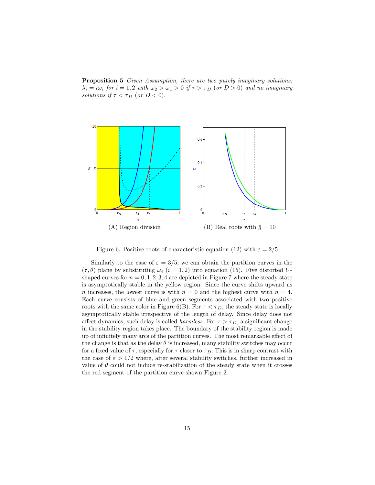Proposition 5 Given Assumption, there are two purely imaginary solutions,  $i \lambda_i = i \omega_i$  for  $i = 1, 2$  with  $\omega_2 > \omega_1 > 0$  if  $\tau > \tau_D$  (or  $D > 0$ ) and no imaginary solutions if  $\tau < \tau_D$  (or  $D < 0$ ).



Figure 6. Positive roots of characteristic equation (12) with  $\varepsilon = 2/5$ 

Similarly to the case of  $\varepsilon = 3/5$ , we can obtain the partition curves in the  $(\tau, \theta)$  plane by substituting  $\omega_i$   $(i = 1, 2)$  into equation (15). Five distorted Ushaped curves for  $n = 0, 1, 2, 3, 4$  are depicted in Figure 7 where the steady state is asymptotically stable in the yellow region. Since the curve shifts upward as n increases, the lowest curve is with  $n = 0$  and the highest curve with  $n = 4$ . Each curve consists of blue and green segments associated with two positive roots with the same color in Figure 6(B). For  $\tau < \tau_D$ , the steady state is locally asymptotically stable irrespective of the length of delay. Since delay does not affect dynamics, such delay is called *harmless*. For  $\tau > \tau_D$ , a significant change in the stability region takes place. The boundary of the stability region is made up of infinitely many arcs of the partition curves. The most remarkable effect of the change is that as the delay  $\theta$  is increased, many stability switches may occur for a fixed value of  $\tau$ , especially for  $\tau$  closer to  $\tau_D$ . This is in sharp contrast with the case of  $\varepsilon > 1/2$  where, after several stability switches, further increased in value of  $\theta$  could not induce re-stabilization of the steady state when it crosses the red segment of the partition curve shown Figure 2.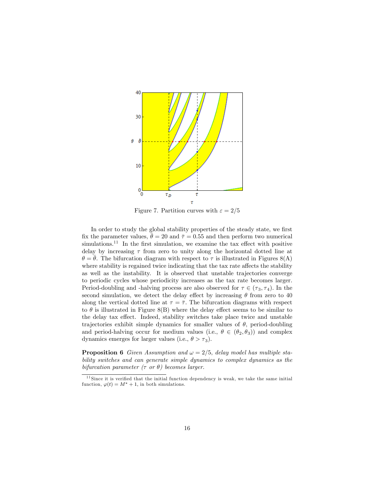

Figure 7. Partition curves with  $\varepsilon = 2/5$ 

In order to study the global stability properties of the steady state, we first fix the parameter values,  $\bar{\theta} = 20$  and  $\bar{\tau} = 0.55$  and then perform two numerical simulations.<sup>11</sup> In the first simulation, we examine the tax effect with positive delay by increasing  $\tau$  from zero to unity along the horizontal dotted line at  $\theta = \bar{\theta}$ . The bifurcation diagram with respect to  $\tau$  is illustrated in Figures 8(A) where stability is regained twice indicating that the tax rate affects the stability as well as the instability. It is observed that unstable trajectories converge to periodic cycles whose periodicity increases as the tax rate becomes larger. Period-doubling and -halving process are also observed for  $\tau \in (\tau_3, \tau_4)$ . In the second simulation, we detect the delay effect by increasing  $\theta$  from zero to 40 along the vertical dotted line at  $\tau = \overline{\tau}$ . The bifurcation diagrams with respect to  $\theta$  is illustrated in Figure 8(B) where the delay effect seems to be similar to the delay tax effect. Indeed, stability switches take place twice and unstable trajectories exhibit simple dynamics for smaller values of  $\theta$ , period-doubling and period-halving occur for medium values (i.e.,  $\theta \in (\theta_2, \theta_3)$ ) and complex dynamics emerges for larger values (i.e.,  $\theta > \tau_3$ ).

**Proposition 6** Given Assumption and  $\omega = 2/5$ , delay model has multiple stability switches and can generate simple dynamics to complex dynamics as the bifurcation parameter  $(\tau \text{ or } \theta)$  becomes larger.

 $11$  Since it is verified that the initial function dependency is weak, we take the same initial function,  $\varphi(t) = M^* + 1$ , in both simulations.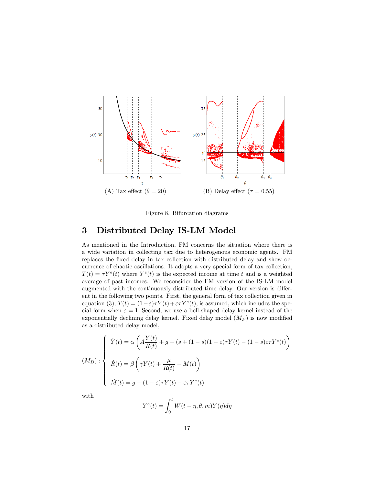

Figure 8. Bifurcation diagrams

# 3 Distributed Delay IS-LM Model

As mentioned in the Introduction, FM concerns the situation where there is a wide variation in collecting tax due to heterogenous economic agents. FM replaces the fixed delay in tax collection with distributed delay and show occurrence of chaotic oscillations. It adopts a very special form of tax collection,  $T(t) = \tau Y^e(t)$  where  $Y^e(t)$  is the expected income at time t and is a weighted average of past incomes. We reconsider the FM version of the IS-LM model augmented with the continuously distributed time delay. Our version is different in the following two points. First, the general form of tax collection given in equation (3),  $T(t) = (1 - \varepsilon)\tau Y(t) + \varepsilon \tau Y^e(t)$ , is assumed, which includes the special form when  $\varepsilon = 1$ . Second, we use a bell-shaped delay kernel instead of the exponentially declining delay kernel. Fixed delay model  $(M_F)$  is now modified as a distributed delay model,

$$
(M_D): \begin{cases} \dot{Y}(t) = \alpha \left( A \frac{Y(t)}{R(t)} + g - (s + (1 - s)(1 - \varepsilon)\tau Y(t) - (1 - s)\varepsilon \tau Y^e(t) \right) \\ \dot{R}(t) = \beta \left( \gamma Y(t) + \frac{\mu}{R(t)} - M(t) \right) \\ \dot{M}(t) = g - (1 - \varepsilon)\tau Y(t) - \varepsilon \tau Y^e(t) \end{cases}
$$

with

$$
Y^{e}(t) = \int_{0}^{t} W(t - \eta, \theta, m) Y(\eta) d\eta
$$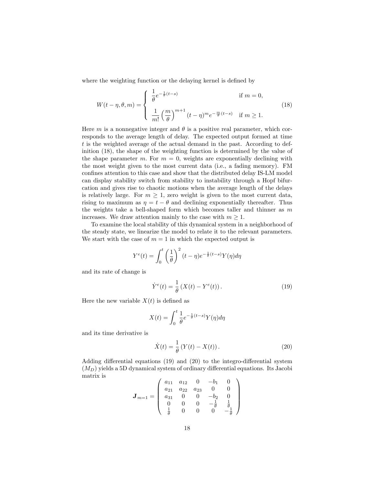where the weighting function or the delaying kernel is defined by

$$
W(t-\eta,\theta,m) = \begin{cases} \frac{1}{\theta}e^{-\frac{1}{\theta}(t-s)} & \text{if } m = 0, \\ \frac{1}{m!} \left(\frac{m}{\theta}\right)^{m+1} (t-\eta)^m e^{-\frac{m}{\theta}(t-s)} & \text{if } m \ge 1. \end{cases}
$$
(18)

Here m is a nonnegative integer and  $\theta$  is a positive real parameter, which corresponds to the average length of delay. The expected output formed at time t is the weighted average of the actual demand in the past. According to definition (18), the shape of the weighting function is determined by the value of the shape parameter m. For  $m = 0$ , weights are exponentially declining with the most weight given to the most current data (i.e., a fading memory). FM confines attention to this case and show that the distributed delay IS-LM model can display stability switch from stability to instability through a Hopf bifurcation and gives rise to chaotic motions when the average length of the delays is relatively large. For  $m \geq 1$ , zero weight is given to the most current data, rising to maximum as  $\eta = t - \theta$  and declining exponentially thereafter. Thus the weights take a bell-shaped form which becomes taller and thinner as m increases. We draw attention mainly to the case with  $m \geq 1$ .

To examine the local stability of this dynamical system in a neighborhood of the steady state, we linearize the model to relate it to the relevant parameters. We start with the case of  $m = 1$  in which the expected output is

$$
Y^{e}(t) = \int_{0}^{t} \left(\frac{1}{\theta}\right)^{2} (t - \eta) e^{-\frac{1}{\theta}(t - s)} Y(\eta) d\eta
$$

and its rate of change is

$$
\dot{Y}^e(t) = \frac{1}{\theta} \left( X(t) - Y^e(t) \right). \tag{19}
$$

Here the new variable  $X(t)$  is defined as

$$
X(t) = \int_0^t \frac{1}{\theta} e^{-\frac{1}{\theta}(t-s)} Y(\eta) d\eta
$$

and its time derivative is

$$
\dot{X}(t) = \frac{1}{\theta} \left( Y(t) - X(t) \right). \tag{20}
$$

Adding differential equations  $(19)$  and  $(20)$  to the integro-differential system  $(M_D)$  yields a 5D dynamical system of ordinary differential equations. Its Jacobi matrix is 1

$$
\boldsymbol{J}_{m=1} = \left(\begin{array}{cccc} a_{11} & a_{12} & 0 & -b_1 & 0 \\ a_{21} & a_{22} & a_{23} & 0 & 0 \\ a_{31} & 0 & 0 & -b_2 & 0 \\ 0 & 0 & 0 & -\frac{1}{\theta} & \frac{1}{\theta} \\ \frac{1}{\theta} & 0 & 0 & 0 & -\frac{1}{\theta} \end{array}\right)
$$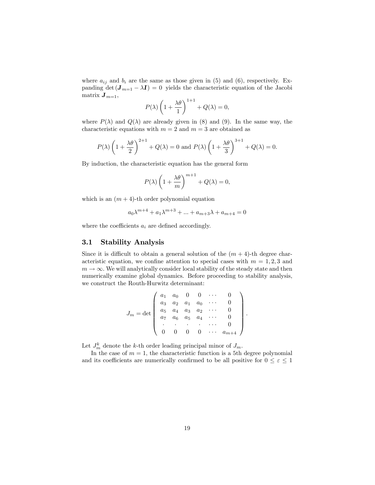where  $a_{ij}$  and  $b_i$  are the same as those given in (5) and (6), respectively. Expanding det  $(\mathbf{J}_{m=1} - \lambda \mathbf{I}) = 0$  yields the characteristic equation of the Jacobi matrix  $\mathbf{J}_{m=1}$ ,

$$
P(\lambda) \left(1 + \frac{\lambda \theta}{1}\right)^{1+1} + Q(\lambda) = 0,
$$

where  $P(\lambda)$  and  $Q(\lambda)$  are already given in (8) and (9). In the same way, the characteristic equations with  $m = 2$  and  $m = 3$  are obtained as

$$
P(\lambda) \left(1 + \frac{\lambda \theta}{2}\right)^{2+1} + Q(\lambda) = 0
$$
 and  $P(\lambda) \left(1 + \frac{\lambda \theta}{3}\right)^{3+1} + Q(\lambda) = 0.$ 

By induction, the characteristic equation has the general form

$$
P(\lambda) \left(1 + \frac{\lambda \theta}{m}\right)^{m+1} + Q(\lambda) = 0,
$$

which is an  $(m + 4)$ -th order polynomial equation

$$
a_0 \lambda^{m+4} + a_1 \lambda^{m+3} + \dots + a_{m+3} \lambda + a_{m+4} = 0
$$

where the coefficients  $a_i$  are defined accordingly.

### 3.1 Stability Analysis

Since it is difficult to obtain a general solution of the  $(m + 4)$ -th degree characteristic equation, we confine attention to special cases with  $m = 1, 2, 3$  and  $m \to \infty$ . We will analytically consider local stability of the steady state and then numerically examine global dynamics. Before proceeding to stability analysis, we construct the Routh-Hurwitz determinant:

$$
J_m = \det \begin{pmatrix} a_1 & a_0 & 0 & 0 & \cdots & 0 \\ a_3 & a_2 & a_1 & a_0 & \cdots & 0 \\ a_5 & a_4 & a_3 & a_2 & \cdots & 0 \\ a_7 & a_6 & a_5 & a_4 & \cdots & 0 \\ \vdots & \vdots & \vdots & \ddots & \vdots & \vdots \\ 0 & 0 & 0 & 0 & \cdots & a_{m+4} \end{pmatrix}
$$

:

Let  $J_m^k$  denote the k-th order leading principal minor of  $J_m$ .

 $\overline{a}$ 

In the case of  $m = 1$ , the characteristic function is a 5th degree polynomial and its coefficients are numerically confirmed to be all positive for  $0 \le \varepsilon \le 1$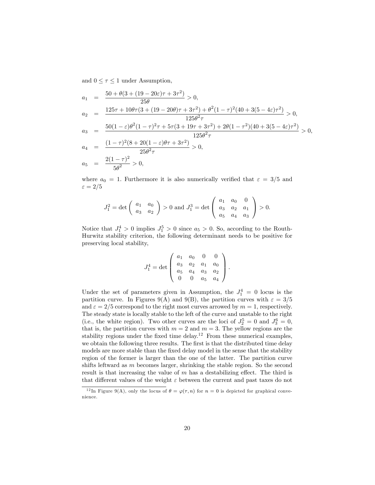and  $0 \leq \tau \leq 1$  under Assumption,

$$
a_1 = \frac{50 + \theta(3 + (19 - 20\varepsilon)\tau + 3\tau^2)}{25\theta} > 0,
$$
  
\n
$$
a_2 = \frac{125\tau + 10\theta\tau(3 + (19 - 20\theta)\tau + 3\tau^2) + \theta^2(1 - \tau)^2(40 + 3(5 - 4\varepsilon)\tau^2)}{125\theta^2\tau} > 0,
$$
  
\n
$$
a_3 = \frac{50(1 - \varepsilon)\theta^2(1 - \tau)^2\tau + 5\tau(3 + 19\tau + 3\tau^2) + 2\theta(1 - \tau^2)(40 + 3(5 - 4\varepsilon)\tau^2)}{125\theta^2\tau} > 0,
$$
  
\n
$$
a_4 = \frac{(1 - \tau)^2(8 + 20(1 - \varepsilon)\theta\tau + 3\tau^2)}{25\theta^2\tau} > 0,
$$
  
\n
$$
a_5 = \frac{2(1 - \tau)^2}{5\theta^2} > 0,
$$

where  $a_0 = 1$ . Furthermore it is also numerically verified that  $\varepsilon = 3/5$  and  $\varepsilon = 2/5$ 

$$
J_1^2 = \det\left(\begin{array}{cc} a_1 & a_0 \\ a_3 & a_2 \end{array}\right) > 0 \text{ and } J_1^3 = \det\left(\begin{array}{ccc} a_1 & a_0 & 0 \\ a_3 & a_2 & a_1 \\ a_5 & a_4 & a_3 \end{array}\right) > 0.
$$

Notice that  $J_1^4 > 0$  implies  $J_1^5 > 0$  since  $a_5 > 0$ . So, according to the Routh-Hurwitz stability criterion, the following determinant needs to be positive for preserving local stability,

$$
J_1^4 = \det \left( \begin{array}{cccc} a_1 & a_0 & 0 & 0 \\ a_3 & a_2 & a_1 & a_0 \\ a_5 & a_4 & a_3 & a_2 \\ 0 & 0 & a_5 & a_4 \end{array} \right).
$$

Under the set of parameters given in Assumption, the  $J_1^4 = 0$  locus is the partition curve. In Figures 9(A) and 9(B), the partition curves with  $\varepsilon = 3/5$ and  $\varepsilon = 2/5$  correspond to the right most curves arrowed by  $m = 1$ , respectively. The steady state is locally stable to the left of the curve and unstable to the right (i.e., the white region). Two other curves are the loci of  $J_2^5 = 0$  and  $J_3^6 = 0$ , that is, the partition curves with  $m = 2$  and  $m = 3$ . The yellow regions are the stability regions under the fixed time delay.<sup>12</sup> From these numerical examples, we obtain the following three results. The first is that the distributed time delay models are more stable than the fixed delay model in the sense that the stability region of the former is larger than the one of the latter. The partition curve shifts leftward as m becomes larger, shrinking the stable region. So the second result is that increasing the value of  $m$  has a destabilizing effect. The third is that different values of the weight  $\varepsilon$  between the current and past taxes do not

<sup>&</sup>lt;sup>12</sup>In Figure 9(A), only the locus of  $\theta = \varphi(\tau, n)$  for  $n = 0$  is depicted for graphical convenience.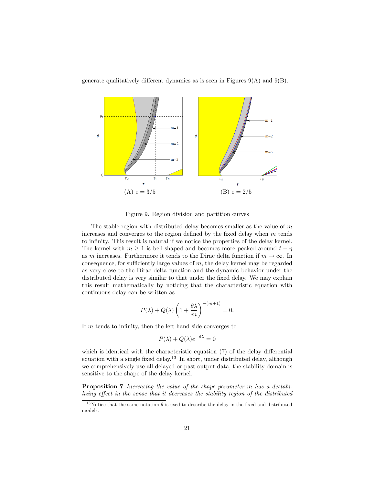generate qualitatively different dynamics as is seen in Figures  $9(A)$  and  $9(B)$ .



Figure 9. Region division and partition curves

The stable region with distributed delay becomes smaller as the value of  $m$ increases and converges to the region defined by the fixed delay when  $m$  tends to infinity. This result is natural if we notice the properties of the delay kernel. The kernel with  $m \geq 1$  is bell-shaped and becomes more peaked around  $t - \eta$ as m increases. Furthermore it tends to the Dirac delta function if  $m \to \infty$ . In consequence, for sufficiently large values of  $m$ , the delay kernel may be regarded as very close to the Dirac delta function and the dynamic behavior under the distributed delay is very similar to that under the fixed delay. We may explain this result mathematically by noticing that the characteristic equation with continuous delay can be written as

$$
P(\lambda) + Q(\lambda) \left(1 + \frac{\theta \lambda}{m}\right)^{-(m+1)} = 0.
$$

If  $m$  tends to infinity, then the left hand side converges to

$$
P(\lambda) + Q(\lambda)e^{-\theta\lambda} = 0
$$

which is identical with the characteristic equation  $(7)$  of the delay differential equation with a single fixed delay.<sup>13</sup> In short, under distributed delay, although we comprehensively use all delayed or past output data, the stability domain is sensitive to the shape of the delay kernel.

Proposition 7 Increasing the value of the shape parameter m has a destabilizing effect in the sense that it decreases the stability region of the distributed

<sup>&</sup>lt;sup>13</sup>Notice that the same notation  $\theta$  is used to describe the delay in the fixed and distributed models.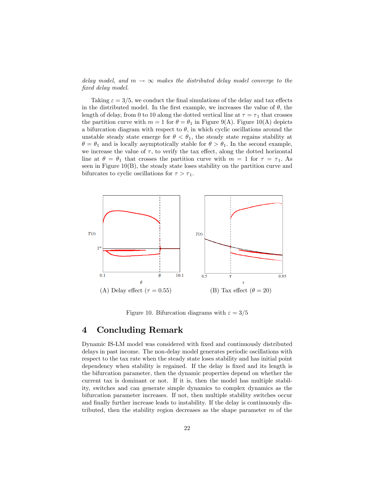delay model, and  $m \to \infty$  makes the distributed delay model converge to the fixed delay model.

Taking  $\varepsilon = 3/5$ , we conduct the final simulations of the delay and tax effects in the distributed model. In the first example, we increases the value of  $\theta$ , the length of delay, from 0 to 10 along the dotted vertical line at  $\tau = \tau_1$  that crosses the partition curve with  $m = 1$  for  $\theta = \theta_1$  in Figure 9(A). Figure 10(A) depicts a bifurcation diagram with respect to  $\theta$ , in which cyclic oscillations around the unstable steady state emerge for  $\theta < \theta_1$ , the steady state regains stability at  $\theta = \theta_1$  and is locally asymptotically stable for  $\theta > \theta_1$ . In the second example, we increase the value of  $\tau$ , to verify the tax effect, along the dotted horizontal line at  $\theta = \theta_1$  that crosses the partition curve with  $m = 1$  for  $\tau = \tau_1$ . As seen in Figure 10(B), the steady state loses stability on the partition curve and bifurcates to cyclic oscillations for  $\tau > \tau_1$ .



Figure 10. Bifurcation diagrams with  $\varepsilon = 3/5$ 

### 4 Concluding Remark

Dynamic IS-LM model was considered with Öxed and continuously distributed delays in past income. The non-delay model generates periodic oscillations with respect to the tax rate when the steady state loses stability and has initial point dependency when stability is regained. If the delay is fixed and its length is the bifurcation parameter, then the dynamic properties depend on whether the current tax is dominant or not. If it is, then the model has multiple stability, switches and can generate simple dynamics to complex dynamics as the bifurcation parameter increases. If not, then multiple stability switches occur and finally further increase leads to instability. If the delay is continuously distributed, then the stability region decreases as the shape parameter  $m$  of the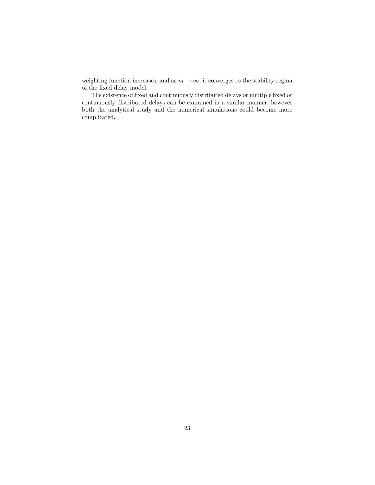weighting function increases, and as  $m \to \infty,$  it converges to the stability region of the fixed delay model.

The existence of fixed and continuously distributed delays or multiple fixed or continuously distributed delays can be examined in a similar manner, however both the analytical study and the numerical simulations could become more complicated.